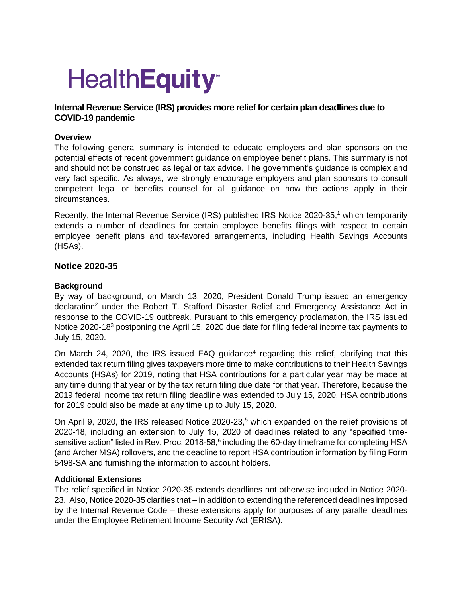# **HealthEquity®**

## **Internal Revenue Service (IRS) provides more relief for certain plan deadlines due to COVID-19 pandemic**

### **Overview**

The following general summary is intended to educate employers and plan sponsors on the potential effects of recent government guidance on employee benefit plans. This summary is not and should not be construed as legal or tax advice. The government's guidance is complex and very fact specific. As always, we strongly encourage employers and plan sponsors to consult competent legal or benefits counsel for all guidance on how the actions apply in their circumstances.

Recently, the Internal Revenue Service (IRS) published IRS Notice 2020-35,<sup>1</sup> which temporarily extends a number of deadlines for certain employee benefits filings with respect to certain employee benefit plans and tax-favored arrangements, including Health Savings Accounts (HSAs).

### **Notice 2020-35**

### **Background**

By way of background, on March 13, 2020, President Donald Trump issued an emergency declaration<sup>2</sup> under the Robert T. Stafford Disaster Relief and Emergency Assistance Act in response to the COVID-19 outbreak. Pursuant to this emergency proclamation, the IRS issued Notice 2020-18<sup>3</sup> postponing the April 15, 2020 due date for filing federal income tax payments to July 15, 2020.

On March 24, 2020, the IRS issued FAQ guidance<sup>4</sup> regarding this relief, clarifying that this extended tax return filing gives taxpayers more time to make contributions to their Health Savings Accounts (HSAs) for 2019, noting that HSA contributions for a particular year may be made at any time during that year or by the tax return filing due date for that year. Therefore, because the 2019 federal income tax return filing deadline was extended to July 15, 2020, HSA contributions for 2019 could also be made at any time up to July 15, 2020.

On April 9, 2020, the IRS released Notice 2020-23,<sup>5</sup> which expanded on the relief provisions of 2020-18, including an extension to July 15, 2020 of deadlines related to any "specified timesensitive action" listed in Rev. Proc. 2018-58, $6$  including the 60-day timeframe for completing HSA (and Archer MSA) rollovers, and the deadline to report HSA contribution information by filing Form 5498-SA and furnishing the information to account holders.

### **Additional Extensions**

The relief specified in Notice 2020-35 extends deadlines not otherwise included in Notice 2020- 23. Also, Notice 2020-35 clarifies that – in addition to extending the referenced deadlines imposed by the Internal Revenue Code – these extensions apply for purposes of any parallel deadlines under the Employee Retirement Income Security Act (ERISA).